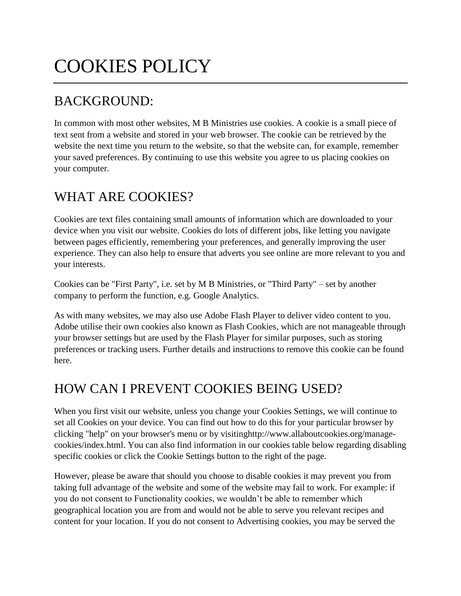# COOKIES POLICY

## BACKGROUND:

In common with most other websites, M B Ministries use cookies. A cookie is a small piece of text sent from a website and stored in your web browser. The cookie can be retrieved by the website the next time you return to the website, so that the website can, for example, remember your saved preferences. By continuing to use this website you agree to us placing cookies on your computer.

### WHAT ARE COOKIES?

Cookies are text files containing small amounts of information which are downloaded to your device when you visit our website. Cookies do lots of different jobs, like letting you navigate between pages efficiently, remembering your preferences, and generally improving the user experience. They can also help to ensure that adverts you see online are more relevant to you and your interests.

Cookies can be "First Party", i.e. set by M B Ministries, or "Third Party" – set by another company to perform the function, e.g. Google Analytics.

As with many websites, we may also use Adobe Flash Player to deliver video content to you. Adobe utilise their own cookies also known as Flash Cookies, which are not manageable through your browser settings but are used by the Flash Player for similar purposes, such as storing preferences or tracking users. Further details and instructions to remove this cookie can be found here.

## HOW CAN I PREVENT COOKIES BEING USED?

When you first visit our website, unless you change your Cookies Settings, we will continue to set all Cookies on your device. You can find out how to do this for your particular browser by clicking "help" on your browser's menu or by visitin[ghttp://www.allaboutcookies.org/manage](http://www.allaboutcookies.org/manage-cookies/index.html)[cookies/index.html.](http://www.allaboutcookies.org/manage-cookies/index.html) You can also find information in our cookies table below regarding disabling specific cookies or click the Cookie Settings button to the right of the page.

However, please be aware that should you choose to disable cookies it may prevent you from taking full advantage of the website and some of the website may fail to work. For example: if you do not consent to Functionality cookies, we wouldn't be able to remember which geographical location you are from and would not be able to serve you relevant recipes and content for your location. If you do not consent to Advertising cookies, you may be served the